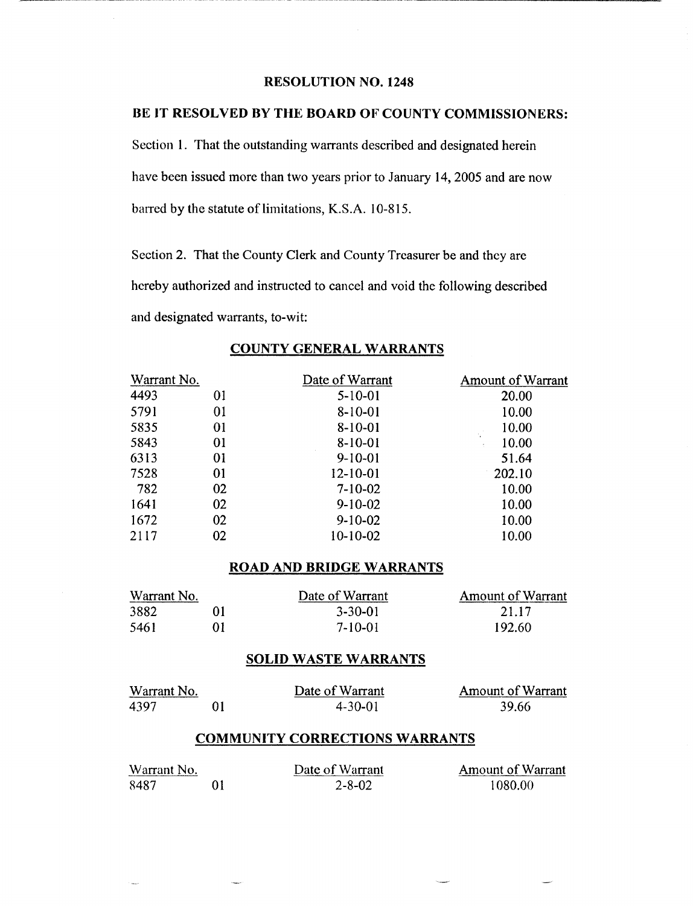## **RESOLUTION NO. 1248**

# **BE IT RESOLVED BY THE BOARD OF COUNTY COMMISSIONERS:**

Section 1. That the outstanding warrants described and designated herein have been issued more than two years prior to January 14, 2005 and are now barred by the statute of limitations, K.S.A. 10-815.

Section 2. That the County Clerk and County Treasurer be and they are hereby authorized and instructed to cancel and void the following described and designated warrants, to-wit:

| Warrant No. |    | Date of Warrant | <b>Amount of Warrant</b> |
|-------------|----|-----------------|--------------------------|
| 4493        | 01 | $5 - 10 - 01$   | 20.00                    |
| 5791        | 01 | $8 - 10 - 01$   | 10.00                    |
| 5835        | 01 | $8-10-01$       | 10.00                    |
| 5843        | 01 | $8 - 10 - 01$   | 10.00                    |
| 6313        | 01 | $9 - 10 - 01$   | 51.64                    |
| 7528        | 01 | $12 - 10 - 01$  | 202.10                   |
| 782         | 02 | $7 - 10 - 02$   | 10.00                    |
| 1641        | 02 | $9 - 10 - 02$   | 10.00                    |
| 1672        | 02 | $9-10-02$       | 10.00                    |
| 2117        | 02 | 10-10-02        | 10.00                    |

# **COUNTY GENERAL WARRANTS**

### **ROAD AND BRIDGE WARRANTS**

| Warrant No. |  | Date of Warrant | <b>Amount of Warrant</b> |
|-------------|--|-----------------|--------------------------|
| 3882        |  | $3 - 30 - 01$   | 21.17                    |
| 5461        |  | 7-10-01         | 192.60                   |

#### **SOLID WASTE WARRANTS**

| Warrant No. | Date of Warrant | <b>Amount of Warrant</b> |
|-------------|-----------------|--------------------------|
| 4397        | $4 - 30 - 01$   | 39.66                    |

#### **COMMUNITY CORRECTIONS WARRANTS**

| Warrant No. | Date of Warrant | <b>Amount of Warrant</b> |
|-------------|-----------------|--------------------------|
| 8487        | 2-8-02          | 1080.00                  |